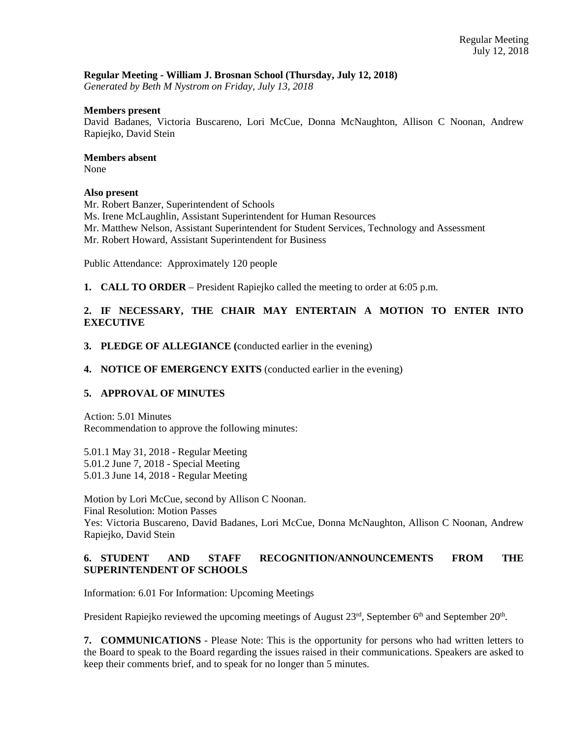# **Regular Meeting - William J. Brosnan School (Thursday, July 12, 2018)**

*Generated by Beth M Nystrom on Friday, July 13, 2018*

#### **Members present**

David Badanes, Victoria Buscareno, Lori McCue, Donna McNaughton, Allison C Noonan, Andrew Rapiejko, David Stein

#### **Members absent**

None

#### **Also present**

Mr. Robert Banzer, Superintendent of Schools Ms. Irene McLaughlin, Assistant Superintendent for Human Resources Mr. Matthew Nelson, Assistant Superintendent for Student Services, Technology and Assessment Mr. Robert Howard, Assistant Superintendent for Business

Public Attendance: Approximately 120 people

**1. CALL TO ORDER** – President Rapiejko called the meeting to order at 6:05 p.m.

# **2. IF NECESSARY, THE CHAIR MAY ENTERTAIN A MOTION TO ENTER INTO EXECUTIVE**

**3. PLEDGE OF ALLEGIANCE (**conducted earlier in the evening)

# **4. NOTICE OF EMERGENCY EXITS** (conducted earlier in the evening)

# **5. APPROVAL OF MINUTES**

Action: 5.01 Minutes Recommendation to approve the following minutes:

5.01.1 May 31, 2018 - Regular Meeting 5.01.2 June 7, 2018 - Special Meeting 5.01.3 June 14, 2018 - Regular Meeting

Motion by Lori McCue, second by Allison C Noonan.

Final Resolution: Motion Passes

Yes: Victoria Buscareno, David Badanes, Lori McCue, Donna McNaughton, Allison C Noonan, Andrew Rapiejko, David Stein

# **6. STUDENT AND STAFF RECOGNITION/ANNOUNCEMENTS FROM THE SUPERINTENDENT OF SCHOOLS**

Information: 6.01 For Information: Upcoming Meetings

President Rapiejko reviewed the upcoming meetings of August 23<sup>rd</sup>, September 6<sup>th</sup> and September 20<sup>th</sup>.

**7. COMMUNICATIONS** - Please Note: This is the opportunity for persons who had written letters to the Board to speak to the Board regarding the issues raised in their communications. Speakers are asked to keep their comments brief, and to speak for no longer than 5 minutes.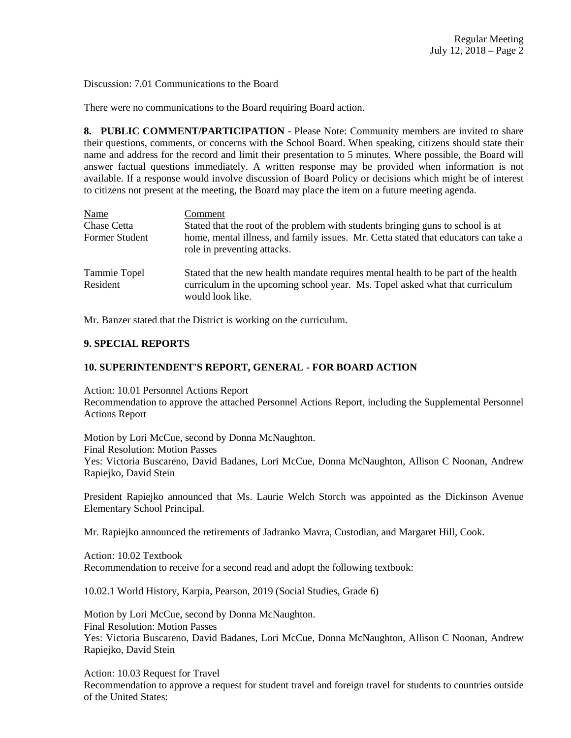Discussion: 7.01 Communications to the Board

There were no communications to the Board requiring Board action.

**8. PUBLIC COMMENT/PARTICIPATION** - Please Note: Community members are invited to share their questions, comments, or concerns with the School Board. When speaking, citizens should state their name and address for the record and limit their presentation to 5 minutes. Where possible, the Board will answer factual questions immediately. A written response may be provided when information is not available. If a response would involve discussion of Board Policy or decisions which might be of interest to citizens not present at the meeting, the Board may place the item on a future meeting agenda.

| Name                     | Comment                                                                                                                                                                                |
|--------------------------|----------------------------------------------------------------------------------------------------------------------------------------------------------------------------------------|
| Chase Cetta              | Stated that the root of the problem with students bringing guns to school is at                                                                                                        |
| Former Student           | home, mental illness, and family issues. Mr. Cetta stated that educators can take a<br>role in preventing attacks.                                                                     |
| Tammie Topel<br>Resident | Stated that the new health mandate requires mental health to be part of the health<br>curriculum in the upcoming school year. Ms. Topel asked what that curriculum<br>would look like. |

Mr. Banzer stated that the District is working on the curriculum.

# **9. SPECIAL REPORTS**

### **10. SUPERINTENDENT'S REPORT, GENERAL - FOR BOARD ACTION**

Action: 10.01 Personnel Actions Report Recommendation to approve the attached Personnel Actions Report, including the Supplemental Personnel Actions Report

Motion by Lori McCue, second by Donna McNaughton. Final Resolution: Motion Passes Yes: Victoria Buscareno, David Badanes, Lori McCue, Donna McNaughton, Allison C Noonan, Andrew Rapiejko, David Stein

President Rapiejko announced that Ms. Laurie Welch Storch was appointed as the Dickinson Avenue Elementary School Principal.

Mr. Rapiejko announced the retirements of Jadranko Mavra, Custodian, and Margaret Hill, Cook.

Action: 10.02 Textbook Recommendation to receive for a second read and adopt the following textbook:

10.02.1 World History, Karpia, Pearson, 2019 (Social Studies, Grade 6)

Motion by Lori McCue, second by Donna McNaughton. Final Resolution: Motion Passes Yes: Victoria Buscareno, David Badanes, Lori McCue, Donna McNaughton, Allison C Noonan, Andrew Rapiejko, David Stein

Action: 10.03 Request for Travel Recommendation to approve a request for student travel and foreign travel for students to countries outside of the United States: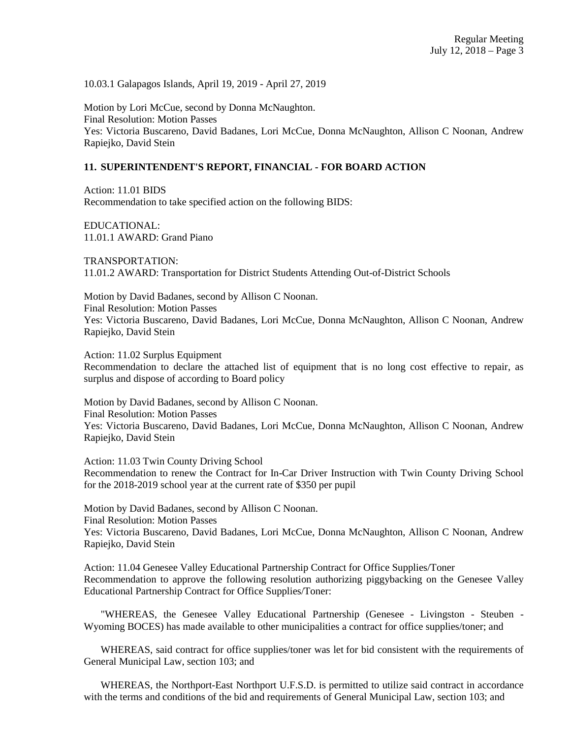10.03.1 Galapagos Islands, April 19, 2019 - April 27, 2019

Motion by Lori McCue, second by Donna McNaughton. Final Resolution: Motion Passes Yes: Victoria Buscareno, David Badanes, Lori McCue, Donna McNaughton, Allison C Noonan, Andrew Rapiejko, David Stein

# **11. SUPERINTENDENT'S REPORT, FINANCIAL - FOR BOARD ACTION**

Action: 11.01 BIDS Recommendation to take specified action on the following BIDS:

EDUCATIONAL: 11.01.1 AWARD: Grand Piano

TRANSPORTATION: 11.01.2 AWARD: Transportation for District Students Attending Out-of-District Schools

Motion by David Badanes, second by Allison C Noonan. Final Resolution: Motion Passes Yes: Victoria Buscareno, David Badanes, Lori McCue, Donna McNaughton, Allison C Noonan, Andrew Rapiejko, David Stein

Action: 11.02 Surplus Equipment

Recommendation to declare the attached list of equipment that is no long cost effective to repair, as surplus and dispose of according to Board policy

Motion by David Badanes, second by Allison C Noonan. Final Resolution: Motion Passes Yes: Victoria Buscareno, David Badanes, Lori McCue, Donna McNaughton, Allison C Noonan, Andrew Rapiejko, David Stein

Action: 11.03 Twin County Driving School

Recommendation to renew the Contract for In-Car Driver Instruction with Twin County Driving School for the 2018-2019 school year at the current rate of \$350 per pupil

Motion by David Badanes, second by Allison C Noonan. Final Resolution: Motion Passes Yes: Victoria Buscareno, David Badanes, Lori McCue, Donna McNaughton, Allison C Noonan, Andrew Rapiejko, David Stein

Action: 11.04 Genesee Valley Educational Partnership Contract for Office Supplies/Toner Recommendation to approve the following resolution authorizing piggybacking on the Genesee Valley Educational Partnership Contract for Office Supplies/Toner:

 "WHEREAS, the Genesee Valley Educational Partnership (Genesee - Livingston - Steuben - Wyoming BOCES) has made available to other municipalities a contract for office supplies/toner; and

 WHEREAS, said contract for office supplies/toner was let for bid consistent with the requirements of General Municipal Law, section 103; and

 WHEREAS, the Northport-East Northport U.F.S.D. is permitted to utilize said contract in accordance with the terms and conditions of the bid and requirements of General Municipal Law, section 103; and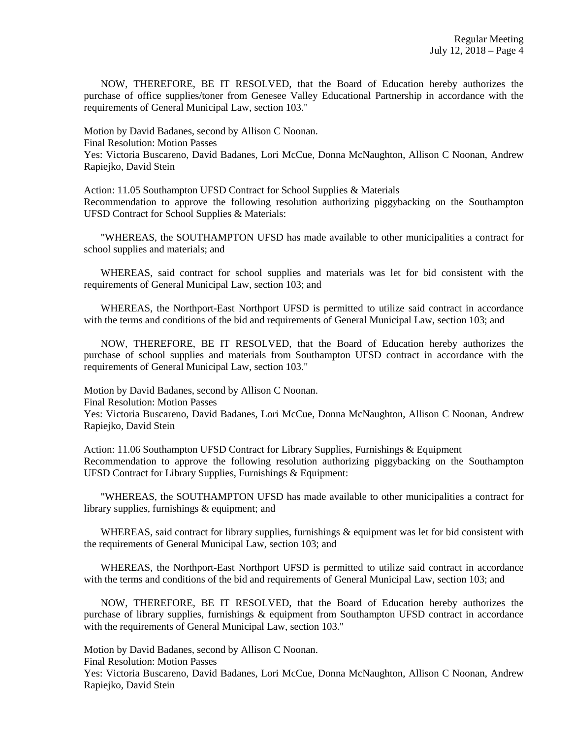NOW, THEREFORE, BE IT RESOLVED, that the Board of Education hereby authorizes the purchase of office supplies/toner from Genesee Valley Educational Partnership in accordance with the requirements of General Municipal Law, section 103."

Motion by David Badanes, second by Allison C Noonan. Final Resolution: Motion Passes Yes: Victoria Buscareno, David Badanes, Lori McCue, Donna McNaughton, Allison C Noonan, Andrew Rapiejko, David Stein

Action: 11.05 Southampton UFSD Contract for School Supplies & Materials Recommendation to approve the following resolution authorizing piggybacking on the Southampton UFSD Contract for School Supplies & Materials:

 "WHEREAS, the SOUTHAMPTON UFSD has made available to other municipalities a contract for school supplies and materials; and

 WHEREAS, said contract for school supplies and materials was let for bid consistent with the requirements of General Municipal Law, section 103; and

 WHEREAS, the Northport-East Northport UFSD is permitted to utilize said contract in accordance with the terms and conditions of the bid and requirements of General Municipal Law, section 103; and

 NOW, THEREFORE, BE IT RESOLVED, that the Board of Education hereby authorizes the purchase of school supplies and materials from Southampton UFSD contract in accordance with the requirements of General Municipal Law, section 103."

Motion by David Badanes, second by Allison C Noonan. Final Resolution: Motion Passes Yes: Victoria Buscareno, David Badanes, Lori McCue, Donna McNaughton, Allison C Noonan, Andrew Rapiejko, David Stein

Action: 11.06 Southampton UFSD Contract for Library Supplies, Furnishings & Equipment Recommendation to approve the following resolution authorizing piggybacking on the Southampton UFSD Contract for Library Supplies, Furnishings & Equipment:

 "WHEREAS, the SOUTHAMPTON UFSD has made available to other municipalities a contract for library supplies, furnishings & equipment; and

WHEREAS, said contract for library supplies, furnishings & equipment was let for bid consistent with the requirements of General Municipal Law, section 103; and

 WHEREAS, the Northport-East Northport UFSD is permitted to utilize said contract in accordance with the terms and conditions of the bid and requirements of General Municipal Law, section 103; and

 NOW, THEREFORE, BE IT RESOLVED, that the Board of Education hereby authorizes the purchase of library supplies, furnishings & equipment from Southampton UFSD contract in accordance with the requirements of General Municipal Law, section 103."

Motion by David Badanes, second by Allison C Noonan.

Final Resolution: Motion Passes

Yes: Victoria Buscareno, David Badanes, Lori McCue, Donna McNaughton, Allison C Noonan, Andrew Rapiejko, David Stein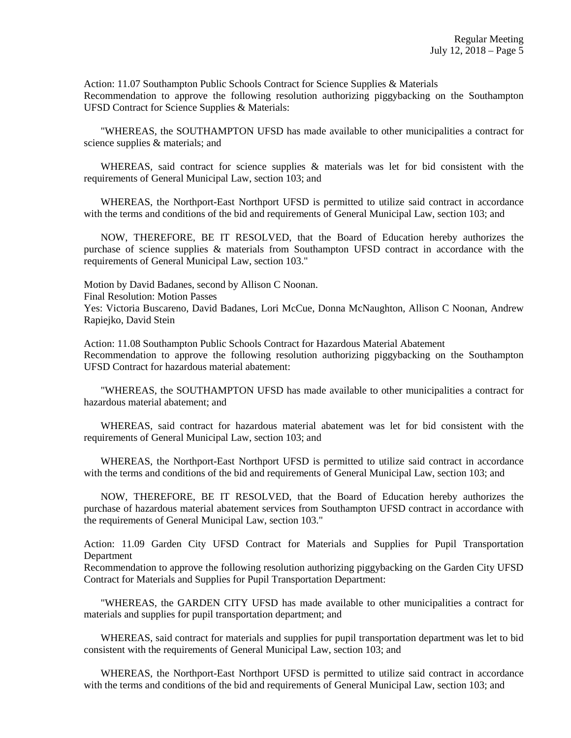Action: 11.07 Southampton Public Schools Contract for Science Supplies & Materials Recommendation to approve the following resolution authorizing piggybacking on the Southampton UFSD Contract for Science Supplies & Materials:

 "WHEREAS, the SOUTHAMPTON UFSD has made available to other municipalities a contract for science supplies & materials; and

WHEREAS, said contract for science supplies & materials was let for bid consistent with the requirements of General Municipal Law, section 103; and

 WHEREAS, the Northport-East Northport UFSD is permitted to utilize said contract in accordance with the terms and conditions of the bid and requirements of General Municipal Law, section 103; and

 NOW, THEREFORE, BE IT RESOLVED, that the Board of Education hereby authorizes the purchase of science supplies & materials from Southampton UFSD contract in accordance with the requirements of General Municipal Law, section 103."

Motion by David Badanes, second by Allison C Noonan.

Final Resolution: Motion Passes

Yes: Victoria Buscareno, David Badanes, Lori McCue, Donna McNaughton, Allison C Noonan, Andrew Rapiejko, David Stein

Action: 11.08 Southampton Public Schools Contract for Hazardous Material Abatement Recommendation to approve the following resolution authorizing piggybacking on the Southampton UFSD Contract for hazardous material abatement:

 "WHEREAS, the SOUTHAMPTON UFSD has made available to other municipalities a contract for hazardous material abatement; and

 WHEREAS, said contract for hazardous material abatement was let for bid consistent with the requirements of General Municipal Law, section 103; and

 WHEREAS, the Northport-East Northport UFSD is permitted to utilize said contract in accordance with the terms and conditions of the bid and requirements of General Municipal Law, section 103; and

 NOW, THEREFORE, BE IT RESOLVED, that the Board of Education hereby authorizes the purchase of hazardous material abatement services from Southampton UFSD contract in accordance with the requirements of General Municipal Law, section 103."

Action: 11.09 Garden City UFSD Contract for Materials and Supplies for Pupil Transportation **Department** 

Recommendation to approve the following resolution authorizing piggybacking on the Garden City UFSD Contract for Materials and Supplies for Pupil Transportation Department:

 "WHEREAS, the GARDEN CITY UFSD has made available to other municipalities a contract for materials and supplies for pupil transportation department; and

 WHEREAS, said contract for materials and supplies for pupil transportation department was let to bid consistent with the requirements of General Municipal Law, section 103; and

 WHEREAS, the Northport-East Northport UFSD is permitted to utilize said contract in accordance with the terms and conditions of the bid and requirements of General Municipal Law, section 103; and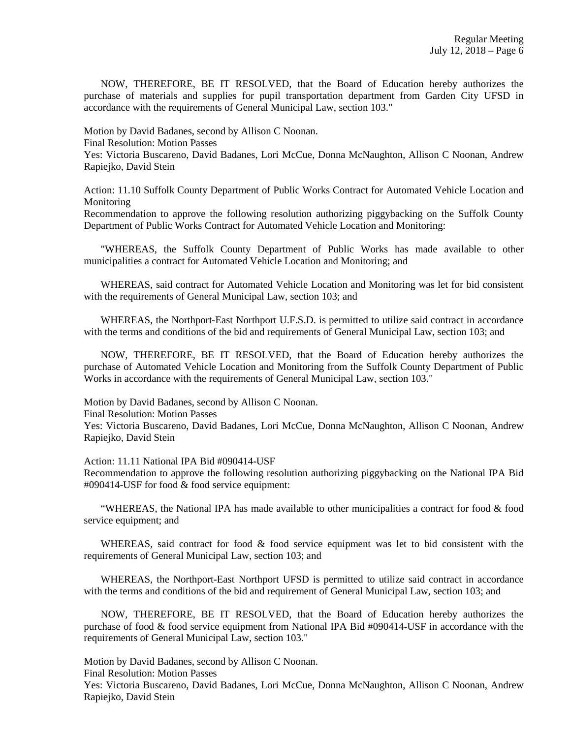NOW, THEREFORE, BE IT RESOLVED, that the Board of Education hereby authorizes the purchase of materials and supplies for pupil transportation department from Garden City UFSD in accordance with the requirements of General Municipal Law, section 103."

Motion by David Badanes, second by Allison C Noonan.

Final Resolution: Motion Passes

Yes: Victoria Buscareno, David Badanes, Lori McCue, Donna McNaughton, Allison C Noonan, Andrew Rapiejko, David Stein

Action: 11.10 Suffolk County Department of Public Works Contract for Automated Vehicle Location and Monitoring

Recommendation to approve the following resolution authorizing piggybacking on the Suffolk County Department of Public Works Contract for Automated Vehicle Location and Monitoring:

 "WHEREAS, the Suffolk County Department of Public Works has made available to other municipalities a contract for Automated Vehicle Location and Monitoring; and

 WHEREAS, said contract for Automated Vehicle Location and Monitoring was let for bid consistent with the requirements of General Municipal Law, section 103; and

 WHEREAS, the Northport-East Northport U.F.S.D. is permitted to utilize said contract in accordance with the terms and conditions of the bid and requirements of General Municipal Law, section 103; and

 NOW, THEREFORE, BE IT RESOLVED, that the Board of Education hereby authorizes the purchase of Automated Vehicle Location and Monitoring from the Suffolk County Department of Public Works in accordance with the requirements of General Municipal Law, section 103."

Motion by David Badanes, second by Allison C Noonan.

Final Resolution: Motion Passes

Yes: Victoria Buscareno, David Badanes, Lori McCue, Donna McNaughton, Allison C Noonan, Andrew Rapiejko, David Stein

Action: 11.11 National IPA Bid #090414-USF

Recommendation to approve the following resolution authorizing piggybacking on the National IPA Bid #090414-USF for food & food service equipment:

 "WHEREAS, the National IPA has made available to other municipalities a contract for food & food service equipment; and

WHEREAS, said contract for food  $\&$  food service equipment was let to bid consistent with the requirements of General Municipal Law, section 103; and

 WHEREAS, the Northport-East Northport UFSD is permitted to utilize said contract in accordance with the terms and conditions of the bid and requirement of General Municipal Law, section 103; and

 NOW, THEREFORE, BE IT RESOLVED, that the Board of Education hereby authorizes the purchase of food  $\&$  food service equipment from National IPA Bid #090414-USF in accordance with the requirements of General Municipal Law, section 103."

Motion by David Badanes, second by Allison C Noonan.

Final Resolution: Motion Passes

Yes: Victoria Buscareno, David Badanes, Lori McCue, Donna McNaughton, Allison C Noonan, Andrew Rapiejko, David Stein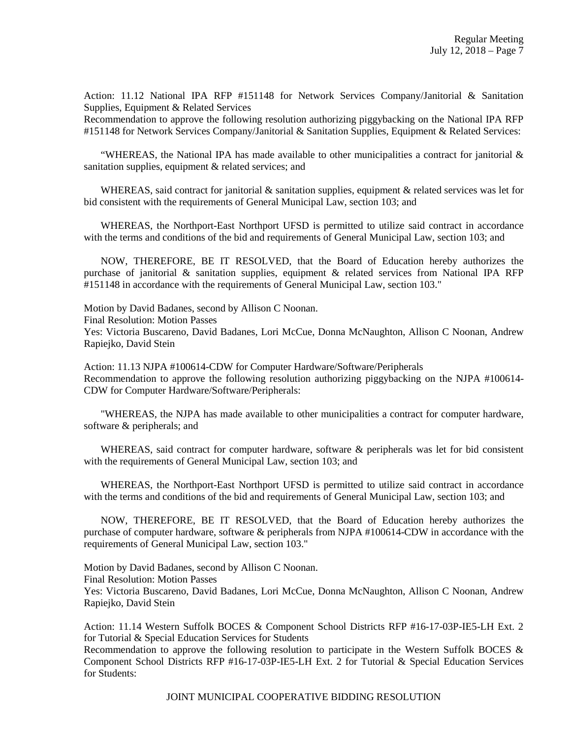Action: 11.12 National IPA RFP #151148 for Network Services Company/Janitorial & Sanitation Supplies, Equipment & Related Services

Recommendation to approve the following resolution authorizing piggybacking on the National IPA RFP #151148 for Network Services Company/Janitorial & Sanitation Supplies, Equipment & Related Services:

"WHEREAS, the National IPA has made available to other municipalities a contract for janitorial  $\&$ sanitation supplies, equipment & related services; and

WHEREAS, said contract for janitorial  $\&$  sanitation supplies, equipment  $\&$  related services was let for bid consistent with the requirements of General Municipal Law, section 103; and

 WHEREAS, the Northport-East Northport UFSD is permitted to utilize said contract in accordance with the terms and conditions of the bid and requirements of General Municipal Law, section 103; and

 NOW, THEREFORE, BE IT RESOLVED, that the Board of Education hereby authorizes the purchase of janitorial & sanitation supplies, equipment & related services from National IPA RFP #151148 in accordance with the requirements of General Municipal Law, section 103."

Motion by David Badanes, second by Allison C Noonan.

Final Resolution: Motion Passes

Yes: Victoria Buscareno, David Badanes, Lori McCue, Donna McNaughton, Allison C Noonan, Andrew Rapiejko, David Stein

Action: 11.13 NJPA #100614-CDW for Computer Hardware/Software/Peripherals Recommendation to approve the following resolution authorizing piggybacking on the NJPA #100614- CDW for Computer Hardware/Software/Peripherals:

 "WHEREAS, the NJPA has made available to other municipalities a contract for computer hardware, software & peripherals; and

WHEREAS, said contract for computer hardware, software & peripherals was let for bid consistent with the requirements of General Municipal Law, section 103; and

 WHEREAS, the Northport-East Northport UFSD is permitted to utilize said contract in accordance with the terms and conditions of the bid and requirements of General Municipal Law, section 103; and

 NOW, THEREFORE, BE IT RESOLVED, that the Board of Education hereby authorizes the purchase of computer hardware, software & peripherals from NJPA #100614-CDW in accordance with the requirements of General Municipal Law, section 103."

Motion by David Badanes, second by Allison C Noonan. Final Resolution: Motion Passes Yes: Victoria Buscareno, David Badanes, Lori McCue, Donna McNaughton, Allison C Noonan, Andrew Rapiejko, David Stein

Action: 11.14 Western Suffolk BOCES & Component School Districts RFP #16-17-03P-IE5-LH Ext. 2 for Tutorial & Special Education Services for Students

Recommendation to approve the following resolution to participate in the Western Suffolk BOCES & Component School Districts RFP #16-17-03P-IE5-LH Ext. 2 for Tutorial & Special Education Services for Students:

JOINT MUNICIPAL COOPERATIVE BIDDING RESOLUTION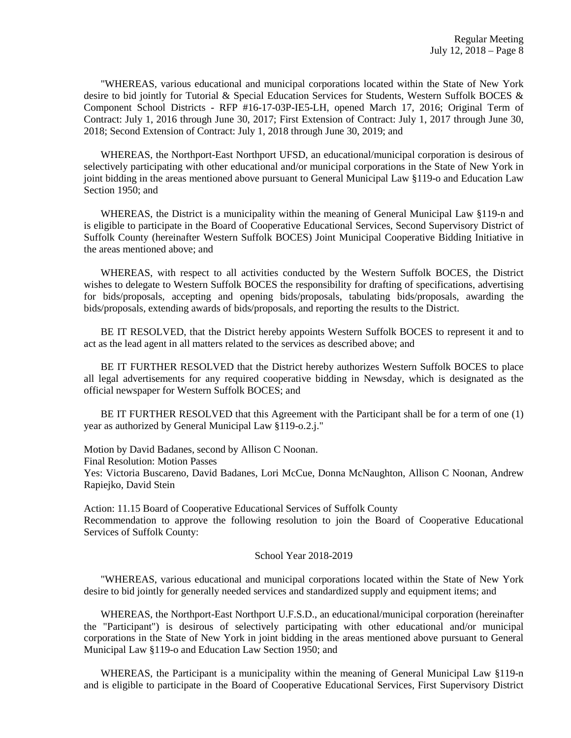"WHEREAS, various educational and municipal corporations located within the State of New York desire to bid jointly for Tutorial & Special Education Services for Students, Western Suffolk BOCES & Component School Districts - RFP #16-17-03P-IE5-LH, opened March 17, 2016; Original Term of Contract: July 1, 2016 through June 30, 2017; First Extension of Contract: July 1, 2017 through June 30, 2018; Second Extension of Contract: July 1, 2018 through June 30, 2019; and

 WHEREAS, the Northport-East Northport UFSD, an educational/municipal corporation is desirous of selectively participating with other educational and/or municipal corporations in the State of New York in joint bidding in the areas mentioned above pursuant to General Municipal Law §119-o and Education Law Section 1950; and

 WHEREAS, the District is a municipality within the meaning of General Municipal Law §119-n and is eligible to participate in the Board of Cooperative Educational Services, Second Supervisory District of Suffolk County (hereinafter Western Suffolk BOCES) Joint Municipal Cooperative Bidding Initiative in the areas mentioned above; and

 WHEREAS, with respect to all activities conducted by the Western Suffolk BOCES, the District wishes to delegate to Western Suffolk BOCES the responsibility for drafting of specifications, advertising for bids/proposals, accepting and opening bids/proposals, tabulating bids/proposals, awarding the bids/proposals, extending awards of bids/proposals, and reporting the results to the District.

 BE IT RESOLVED, that the District hereby appoints Western Suffolk BOCES to represent it and to act as the lead agent in all matters related to the services as described above; and

 BE IT FURTHER RESOLVED that the District hereby authorizes Western Suffolk BOCES to place all legal advertisements for any required cooperative bidding in Newsday, which is designated as the official newspaper for Western Suffolk BOCES; and

 BE IT FURTHER RESOLVED that this Agreement with the Participant shall be for a term of one (1) year as authorized by General Municipal Law §119-o.2.j."

Motion by David Badanes, second by Allison C Noonan.

Final Resolution: Motion Passes

Yes: Victoria Buscareno, David Badanes, Lori McCue, Donna McNaughton, Allison C Noonan, Andrew Rapiejko, David Stein

Action: 11.15 Board of Cooperative Educational Services of Suffolk County Recommendation to approve the following resolution to join the Board of Cooperative Educational Services of Suffolk County:

#### School Year 2018-2019

 "WHEREAS, various educational and municipal corporations located within the State of New York desire to bid jointly for generally needed services and standardized supply and equipment items; and

 WHEREAS, the Northport-East Northport U.F.S.D., an educational/municipal corporation (hereinafter the "Participant") is desirous of selectively participating with other educational and/or municipal corporations in the State of New York in joint bidding in the areas mentioned above pursuant to General Municipal Law §119-o and Education Law Section 1950; and

 WHEREAS, the Participant is a municipality within the meaning of General Municipal Law §119-n and is eligible to participate in the Board of Cooperative Educational Services, First Supervisory District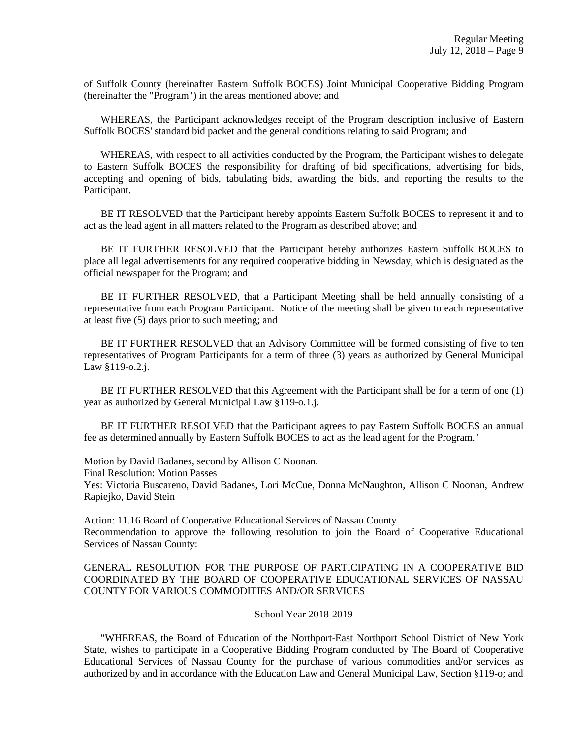of Suffolk County (hereinafter Eastern Suffolk BOCES) Joint Municipal Cooperative Bidding Program (hereinafter the "Program") in the areas mentioned above; and

 WHEREAS, the Participant acknowledges receipt of the Program description inclusive of Eastern Suffolk BOCES' standard bid packet and the general conditions relating to said Program; and

WHEREAS, with respect to all activities conducted by the Program, the Participant wishes to delegate to Eastern Suffolk BOCES the responsibility for drafting of bid specifications, advertising for bids, accepting and opening of bids, tabulating bids, awarding the bids, and reporting the results to the Participant.

 BE IT RESOLVED that the Participant hereby appoints Eastern Suffolk BOCES to represent it and to act as the lead agent in all matters related to the Program as described above; and

 BE IT FURTHER RESOLVED that the Participant hereby authorizes Eastern Suffolk BOCES to place all legal advertisements for any required cooperative bidding in Newsday, which is designated as the official newspaper for the Program; and

 BE IT FURTHER RESOLVED, that a Participant Meeting shall be held annually consisting of a representative from each Program Participant. Notice of the meeting shall be given to each representative at least five (5) days prior to such meeting; and

 BE IT FURTHER RESOLVED that an Advisory Committee will be formed consisting of five to ten representatives of Program Participants for a term of three (3) years as authorized by General Municipal Law §119-o.2.j.

 BE IT FURTHER RESOLVED that this Agreement with the Participant shall be for a term of one (1) year as authorized by General Municipal Law §119-o.1.j.

 BE IT FURTHER RESOLVED that the Participant agrees to pay Eastern Suffolk BOCES an annual fee as determined annually by Eastern Suffolk BOCES to act as the lead agent for the Program."

Motion by David Badanes, second by Allison C Noonan.

Final Resolution: Motion Passes

Yes: Victoria Buscareno, David Badanes, Lori McCue, Donna McNaughton, Allison C Noonan, Andrew Rapiejko, David Stein

Action: 11.16 Board of Cooperative Educational Services of Nassau County Recommendation to approve the following resolution to join the Board of Cooperative Educational Services of Nassau County:

### GENERAL RESOLUTION FOR THE PURPOSE OF PARTICIPATING IN A COOPERATIVE BID COORDINATED BY THE BOARD OF COOPERATIVE EDUCATIONAL SERVICES OF NASSAU COUNTY FOR VARIOUS COMMODITIES AND/OR SERVICES

#### School Year 2018-2019

 "WHEREAS, the Board of Education of the Northport-East Northport School District of New York State, wishes to participate in a Cooperative Bidding Program conducted by The Board of Cooperative Educational Services of Nassau County for the purchase of various commodities and/or services as authorized by and in accordance with the Education Law and General Municipal Law, Section §119-o; and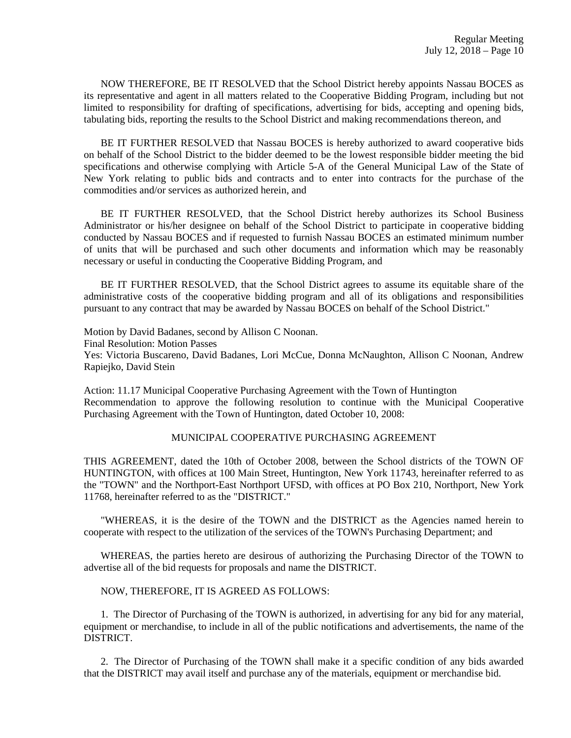NOW THEREFORE, BE IT RESOLVED that the School District hereby appoints Nassau BOCES as its representative and agent in all matters related to the Cooperative Bidding Program, including but not limited to responsibility for drafting of specifications, advertising for bids, accepting and opening bids, tabulating bids, reporting the results to the School District and making recommendations thereon, and

 BE IT FURTHER RESOLVED that Nassau BOCES is hereby authorized to award cooperative bids on behalf of the School District to the bidder deemed to be the lowest responsible bidder meeting the bid specifications and otherwise complying with Article 5-A of the General Municipal Law of the State of New York relating to public bids and contracts and to enter into contracts for the purchase of the commodities and/or services as authorized herein, and

 BE IT FURTHER RESOLVED, that the School District hereby authorizes its School Business Administrator or his/her designee on behalf of the School District to participate in cooperative bidding conducted by Nassau BOCES and if requested to furnish Nassau BOCES an estimated minimum number of units that will be purchased and such other documents and information which may be reasonably necessary or useful in conducting the Cooperative Bidding Program, and

 BE IT FURTHER RESOLVED, that the School District agrees to assume its equitable share of the administrative costs of the cooperative bidding program and all of its obligations and responsibilities pursuant to any contract that may be awarded by Nassau BOCES on behalf of the School District."

Motion by David Badanes, second by Allison C Noonan.

Final Resolution: Motion Passes

Yes: Victoria Buscareno, David Badanes, Lori McCue, Donna McNaughton, Allison C Noonan, Andrew Rapiejko, David Stein

Action: 11.17 Municipal Cooperative Purchasing Agreement with the Town of Huntington Recommendation to approve the following resolution to continue with the Municipal Cooperative Purchasing Agreement with the Town of Huntington, dated October 10, 2008:

#### MUNICIPAL COOPERATIVE PURCHASING AGREEMENT

THIS AGREEMENT, dated the 10th of October 2008, between the School districts of the TOWN OF HUNTINGTON, with offices at 100 Main Street, Huntington, New York 11743, hereinafter referred to as the "TOWN" and the Northport-East Northport UFSD, with offices at PO Box 210, Northport, New York 11768, hereinafter referred to as the "DISTRICT."

 "WHEREAS, it is the desire of the TOWN and the DISTRICT as the Agencies named herein to cooperate with respect to the utilization of the services of the TOWN's Purchasing Department; and

 WHEREAS, the parties hereto are desirous of authorizing the Purchasing Director of the TOWN to advertise all of the bid requests for proposals and name the DISTRICT.

#### NOW, THEREFORE, IT IS AGREED AS FOLLOWS:

 1. The Director of Purchasing of the TOWN is authorized, in advertising for any bid for any material, equipment or merchandise, to include in all of the public notifications and advertisements, the name of the DISTRICT.

 2. The Director of Purchasing of the TOWN shall make it a specific condition of any bids awarded that the DISTRICT may avail itself and purchase any of the materials, equipment or merchandise bid.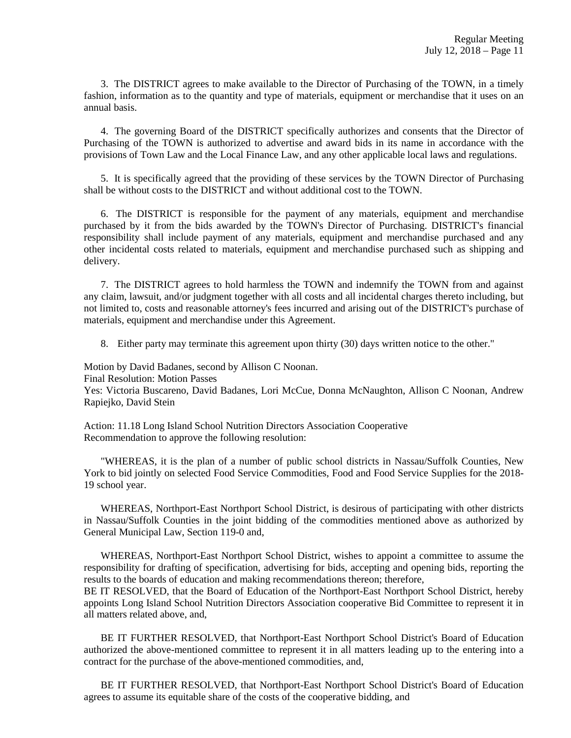3. The DISTRICT agrees to make available to the Director of Purchasing of the TOWN, in a timely fashion, information as to the quantity and type of materials, equipment or merchandise that it uses on an annual basis.

 4. The governing Board of the DISTRICT specifically authorizes and consents that the Director of Purchasing of the TOWN is authorized to advertise and award bids in its name in accordance with the provisions of Town Law and the Local Finance Law, and any other applicable local laws and regulations.

 5. It is specifically agreed that the providing of these services by the TOWN Director of Purchasing shall be without costs to the DISTRICT and without additional cost to the TOWN.

 6. The DISTRICT is responsible for the payment of any materials, equipment and merchandise purchased by it from the bids awarded by the TOWN's Director of Purchasing. DISTRICT's financial responsibility shall include payment of any materials, equipment and merchandise purchased and any other incidental costs related to materials, equipment and merchandise purchased such as shipping and delivery.

 7. The DISTRICT agrees to hold harmless the TOWN and indemnify the TOWN from and against any claim, lawsuit, and/or judgment together with all costs and all incidental charges thereto including, but not limited to, costs and reasonable attorney's fees incurred and arising out of the DISTRICT's purchase of materials, equipment and merchandise under this Agreement.

8. Either party may terminate this agreement upon thirty (30) days written notice to the other."

Motion by David Badanes, second by Allison C Noonan.

Final Resolution: Motion Passes

Yes: Victoria Buscareno, David Badanes, Lori McCue, Donna McNaughton, Allison C Noonan, Andrew Rapiejko, David Stein

Action: 11.18 Long Island School Nutrition Directors Association Cooperative Recommendation to approve the following resolution:

 "WHEREAS, it is the plan of a number of public school districts in Nassau/Suffolk Counties, New York to bid jointly on selected Food Service Commodities, Food and Food Service Supplies for the 2018- 19 school year.

 WHEREAS, Northport-East Northport School District, is desirous of participating with other districts in Nassau/Suffolk Counties in the joint bidding of the commodities mentioned above as authorized by General Municipal Law, Section 119-0 and,

 WHEREAS, Northport-East Northport School District, wishes to appoint a committee to assume the responsibility for drafting of specification, advertising for bids, accepting and opening bids, reporting the results to the boards of education and making recommendations thereon; therefore,

BE IT RESOLVED, that the Board of Education of the Northport-East Northport School District, hereby appoints Long Island School Nutrition Directors Association cooperative Bid Committee to represent it in all matters related above, and,

 BE IT FURTHER RESOLVED, that Northport-East Northport School District's Board of Education authorized the above-mentioned committee to represent it in all matters leading up to the entering into a contract for the purchase of the above-mentioned commodities, and,

 BE IT FURTHER RESOLVED, that Northport-East Northport School District's Board of Education agrees to assume its equitable share of the costs of the cooperative bidding, and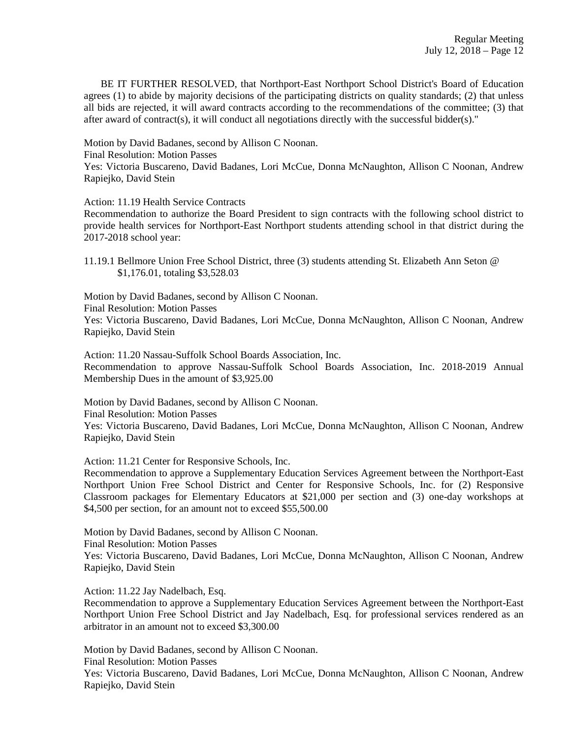BE IT FURTHER RESOLVED, that Northport-East Northport School District's Board of Education agrees (1) to abide by majority decisions of the participating districts on quality standards; (2) that unless all bids are rejected, it will award contracts according to the recommendations of the committee; (3) that after award of contract(s), it will conduct all negotiations directly with the successful bidder(s)."

Motion by David Badanes, second by Allison C Noonan.

Final Resolution: Motion Passes

Yes: Victoria Buscareno, David Badanes, Lori McCue, Donna McNaughton, Allison C Noonan, Andrew Rapiejko, David Stein

Action: 11.19 Health Service Contracts

Recommendation to authorize the Board President to sign contracts with the following school district to provide health services for Northport-East Northport students attending school in that district during the 2017-2018 school year:

11.19.1 Bellmore Union Free School District, three (3) students attending St. Elizabeth Ann Seton @ \$1,176.01, totaling \$3,528.03

Motion by David Badanes, second by Allison C Noonan.

Final Resolution: Motion Passes

Yes: Victoria Buscareno, David Badanes, Lori McCue, Donna McNaughton, Allison C Noonan, Andrew Rapiejko, David Stein

Action: 11.20 Nassau-Suffolk School Boards Association, Inc. Recommendation to approve Nassau-Suffolk School Boards Association, Inc. 2018-2019 Annual Membership Dues in the amount of \$3,925.00

Motion by David Badanes, second by Allison C Noonan.

Final Resolution: Motion Passes

Yes: Victoria Buscareno, David Badanes, Lori McCue, Donna McNaughton, Allison C Noonan, Andrew Rapiejko, David Stein

Action: 11.21 Center for Responsive Schools, Inc.

Recommendation to approve a Supplementary Education Services Agreement between the Northport-East Northport Union Free School District and Center for Responsive Schools, Inc. for (2) Responsive Classroom packages for Elementary Educators at \$21,000 per section and (3) one-day workshops at \$4,500 per section, for an amount not to exceed \$55,500.00

Motion by David Badanes, second by Allison C Noonan.

Final Resolution: Motion Passes

Yes: Victoria Buscareno, David Badanes, Lori McCue, Donna McNaughton, Allison C Noonan, Andrew Rapiejko, David Stein

Action: 11.22 Jay Nadelbach, Esq.

Recommendation to approve a Supplementary Education Services Agreement between the Northport-East Northport Union Free School District and Jay Nadelbach, Esq. for professional services rendered as an arbitrator in an amount not to exceed \$3,300.00

Motion by David Badanes, second by Allison C Noonan.

Final Resolution: Motion Passes

Yes: Victoria Buscareno, David Badanes, Lori McCue, Donna McNaughton, Allison C Noonan, Andrew Rapiejko, David Stein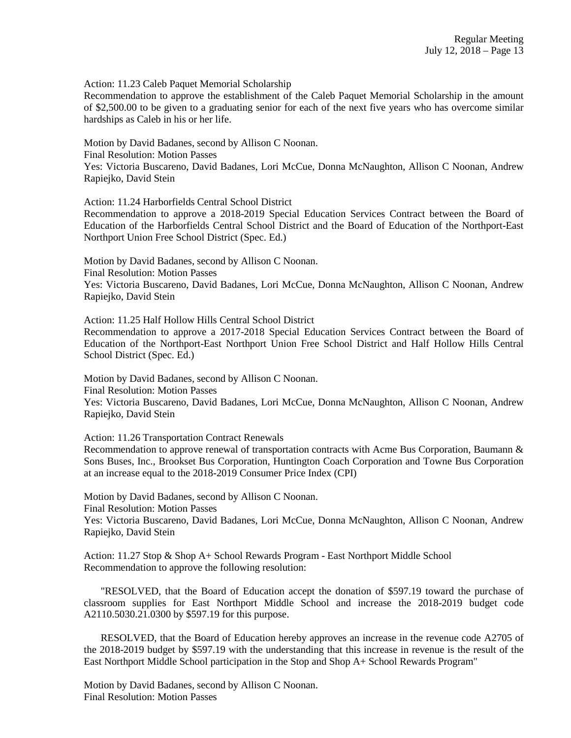Action: 11.23 Caleb Paquet Memorial Scholarship

Recommendation to approve the establishment of the Caleb Paquet Memorial Scholarship in the amount of \$2,500.00 to be given to a graduating senior for each of the next five years who has overcome similar hardships as Caleb in his or her life.

Motion by David Badanes, second by Allison C Noonan. Final Resolution: Motion Passes Yes: Victoria Buscareno, David Badanes, Lori McCue, Donna McNaughton, Allison C Noonan, Andrew Rapiejko, David Stein

Action: 11.24 Harborfields Central School District

Recommendation to approve a 2018-2019 Special Education Services Contract between the Board of Education of the Harborfields Central School District and the Board of Education of the Northport-East Northport Union Free School District (Spec. Ed.)

Motion by David Badanes, second by Allison C Noonan. Final Resolution: Motion Passes Yes: Victoria Buscareno, David Badanes, Lori McCue, Donna McNaughton, Allison C Noonan, Andrew Rapiejko, David Stein

Action: 11.25 Half Hollow Hills Central School District

Recommendation to approve a 2017-2018 Special Education Services Contract between the Board of Education of the Northport-East Northport Union Free School District and Half Hollow Hills Central School District (Spec. Ed.)

Motion by David Badanes, second by Allison C Noonan.

Final Resolution: Motion Passes

Yes: Victoria Buscareno, David Badanes, Lori McCue, Donna McNaughton, Allison C Noonan, Andrew Rapiejko, David Stein

Action: 11.26 Transportation Contract Renewals

Recommendation to approve renewal of transportation contracts with Acme Bus Corporation, Baumann & Sons Buses, Inc., Brookset Bus Corporation, Huntington Coach Corporation and Towne Bus Corporation at an increase equal to the 2018-2019 Consumer Price Index (CPI)

Motion by David Badanes, second by Allison C Noonan. Final Resolution: Motion Passes Yes: Victoria Buscareno, David Badanes, Lori McCue, Donna McNaughton, Allison C Noonan, Andrew Rapiejko, David Stein

Action: 11.27 Stop & Shop A+ School Rewards Program - East Northport Middle School Recommendation to approve the following resolution:

 "RESOLVED, that the Board of Education accept the donation of \$597.19 toward the purchase of classroom supplies for East Northport Middle School and increase the 2018-2019 budget code A2110.5030.21.0300 by \$597.19 for this purpose.

 RESOLVED, that the Board of Education hereby approves an increase in the revenue code A2705 of the 2018-2019 budget by \$597.19 with the understanding that this increase in revenue is the result of the East Northport Middle School participation in the Stop and Shop A+ School Rewards Program"

Motion by David Badanes, second by Allison C Noonan. Final Resolution: Motion Passes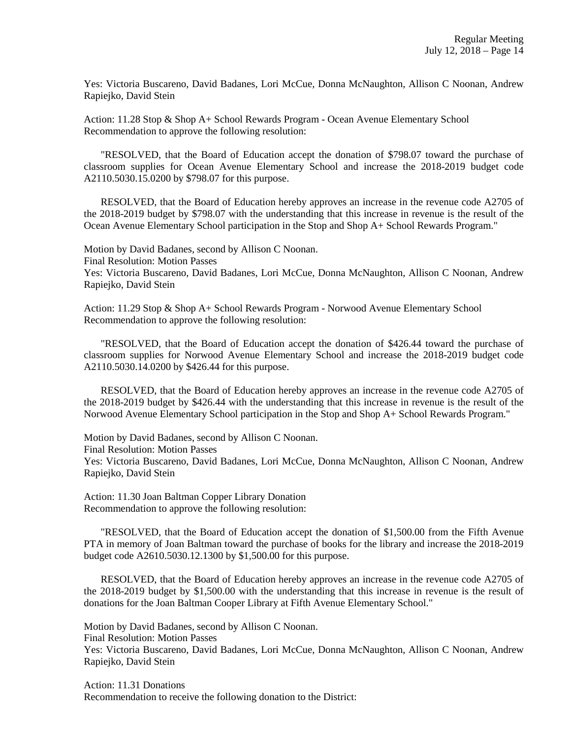Yes: Victoria Buscareno, David Badanes, Lori McCue, Donna McNaughton, Allison C Noonan, Andrew Rapiejko, David Stein

Action: 11.28 Stop & Shop A+ School Rewards Program - Ocean Avenue Elementary School Recommendation to approve the following resolution:

 "RESOLVED, that the Board of Education accept the donation of \$798.07 toward the purchase of classroom supplies for Ocean Avenue Elementary School and increase the 2018-2019 budget code A2110.5030.15.0200 by \$798.07 for this purpose.

 RESOLVED, that the Board of Education hereby approves an increase in the revenue code A2705 of the 2018-2019 budget by \$798.07 with the understanding that this increase in revenue is the result of the Ocean Avenue Elementary School participation in the Stop and Shop A+ School Rewards Program."

Motion by David Badanes, second by Allison C Noonan.

Final Resolution: Motion Passes

Yes: Victoria Buscareno, David Badanes, Lori McCue, Donna McNaughton, Allison C Noonan, Andrew Rapiejko, David Stein

Action: 11.29 Stop & Shop A+ School Rewards Program - Norwood Avenue Elementary School Recommendation to approve the following resolution:

 "RESOLVED, that the Board of Education accept the donation of \$426.44 toward the purchase of classroom supplies for Norwood Avenue Elementary School and increase the 2018-2019 budget code A2110.5030.14.0200 by \$426.44 for this purpose.

 RESOLVED, that the Board of Education hereby approves an increase in the revenue code A2705 of the 2018-2019 budget by \$426.44 with the understanding that this increase in revenue is the result of the Norwood Avenue Elementary School participation in the Stop and Shop A+ School Rewards Program."

Motion by David Badanes, second by Allison C Noonan.

Final Resolution: Motion Passes

Yes: Victoria Buscareno, David Badanes, Lori McCue, Donna McNaughton, Allison C Noonan, Andrew Rapiejko, David Stein

Action: 11.30 Joan Baltman Copper Library Donation Recommendation to approve the following resolution:

 "RESOLVED, that the Board of Education accept the donation of \$1,500.00 from the Fifth Avenue PTA in memory of Joan Baltman toward the purchase of books for the library and increase the 2018-2019 budget code A2610.5030.12.1300 by \$1,500.00 for this purpose.

 RESOLVED, that the Board of Education hereby approves an increase in the revenue code A2705 of the 2018-2019 budget by \$1,500.00 with the understanding that this increase in revenue is the result of donations for the Joan Baltman Cooper Library at Fifth Avenue Elementary School."

Motion by David Badanes, second by Allison C Noonan.

Final Resolution: Motion Passes

Yes: Victoria Buscareno, David Badanes, Lori McCue, Donna McNaughton, Allison C Noonan, Andrew Rapiejko, David Stein

Action: 11.31 Donations Recommendation to receive the following donation to the District: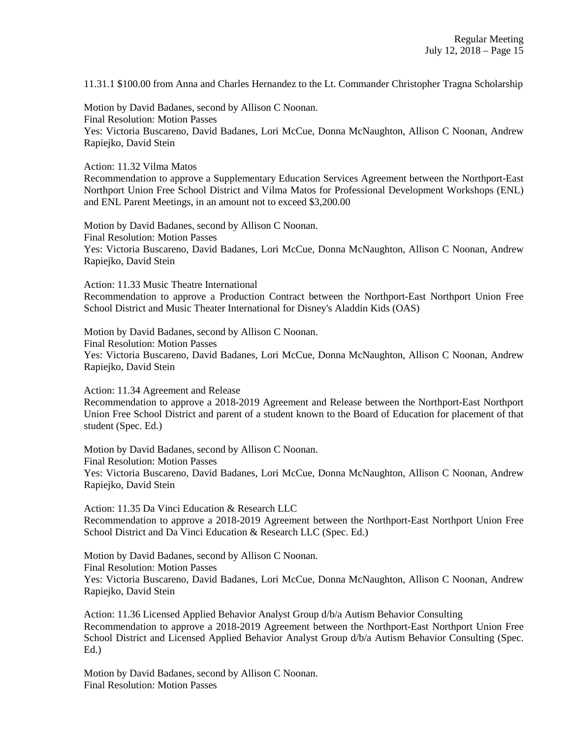11.31.1 \$100.00 from Anna and Charles Hernandez to the Lt. Commander Christopher Tragna Scholarship

Motion by David Badanes, second by Allison C Noonan. Final Resolution: Motion Passes Yes: Victoria Buscareno, David Badanes, Lori McCue, Donna McNaughton, Allison C Noonan, Andrew Rapiejko, David Stein

Action: 11.32 Vilma Matos

Recommendation to approve a Supplementary Education Services Agreement between the Northport-East Northport Union Free School District and Vilma Matos for Professional Development Workshops (ENL) and ENL Parent Meetings, in an amount not to exceed \$3,200.00

Motion by David Badanes, second by Allison C Noonan. Final Resolution: Motion Passes Yes: Victoria Buscareno, David Badanes, Lori McCue, Donna McNaughton, Allison C Noonan, Andrew Rapiejko, David Stein

Action: 11.33 Music Theatre International

Recommendation to approve a Production Contract between the Northport-East Northport Union Free School District and Music Theater International for Disney's Aladdin Kids (OAS)

Motion by David Badanes, second by Allison C Noonan. Final Resolution: Motion Passes Yes: Victoria Buscareno, David Badanes, Lori McCue, Donna McNaughton, Allison C Noonan, Andrew Rapiejko, David Stein

Action: 11.34 Agreement and Release

Recommendation to approve a 2018-2019 Agreement and Release between the Northport-East Northport Union Free School District and parent of a student known to the Board of Education for placement of that student (Spec. Ed.)

Motion by David Badanes, second by Allison C Noonan. Final Resolution: Motion Passes Yes: Victoria Buscareno, David Badanes, Lori McCue, Donna McNaughton, Allison C Noonan, Andrew Rapiejko, David Stein

Action: 11.35 Da Vinci Education & Research LLC Recommendation to approve a 2018-2019 Agreement between the Northport-East Northport Union Free School District and Da Vinci Education & Research LLC (Spec. Ed.)

Motion by David Badanes, second by Allison C Noonan. Final Resolution: Motion Passes Yes: Victoria Buscareno, David Badanes, Lori McCue, Donna McNaughton, Allison C Noonan, Andrew Rapiejko, David Stein

Action: 11.36 Licensed Applied Behavior Analyst Group d/b/a Autism Behavior Consulting Recommendation to approve a 2018-2019 Agreement between the Northport-East Northport Union Free School District and Licensed Applied Behavior Analyst Group d/b/a Autism Behavior Consulting (Spec. Ed.)

Motion by David Badanes, second by Allison C Noonan. Final Resolution: Motion Passes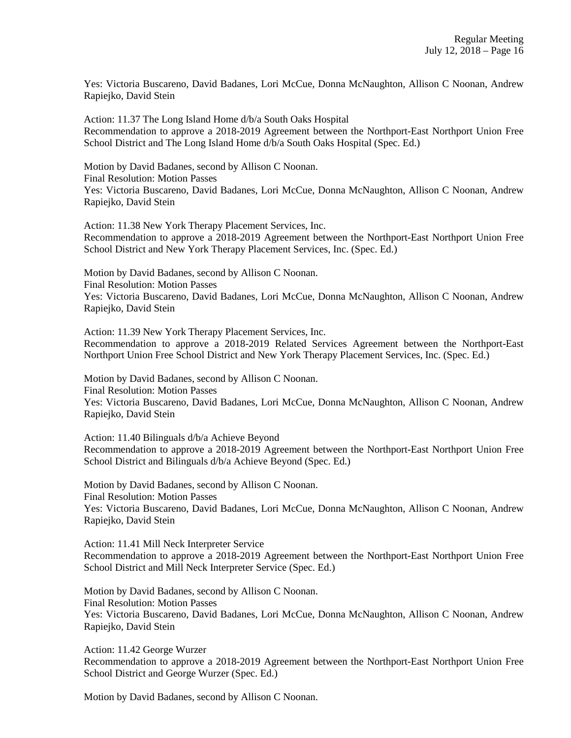Yes: Victoria Buscareno, David Badanes, Lori McCue, Donna McNaughton, Allison C Noonan, Andrew Rapiejko, David Stein

Action: 11.37 The Long Island Home d/b/a South Oaks Hospital Recommendation to approve a 2018-2019 Agreement between the Northport-East Northport Union Free School District and The Long Island Home d/b/a South Oaks Hospital (Spec. Ed.)

Motion by David Badanes, second by Allison C Noonan. Final Resolution: Motion Passes Yes: Victoria Buscareno, David Badanes, Lori McCue, Donna McNaughton, Allison C Noonan, Andrew Rapiejko, David Stein

Action: 11.38 New York Therapy Placement Services, Inc. Recommendation to approve a 2018-2019 Agreement between the Northport-East Northport Union Free School District and New York Therapy Placement Services, Inc. (Spec. Ed.)

Motion by David Badanes, second by Allison C Noonan. Final Resolution: Motion Passes Yes: Victoria Buscareno, David Badanes, Lori McCue, Donna McNaughton, Allison C Noonan, Andrew Rapiejko, David Stein

Action: 11.39 New York Therapy Placement Services, Inc. Recommendation to approve a 2018-2019 Related Services Agreement between the Northport-East Northport Union Free School District and New York Therapy Placement Services, Inc. (Spec. Ed.)

Motion by David Badanes, second by Allison C Noonan. Final Resolution: Motion Passes Yes: Victoria Buscareno, David Badanes, Lori McCue, Donna McNaughton, Allison C Noonan, Andrew Rapiejko, David Stein

Action: 11.40 Bilinguals d/b/a Achieve Beyond Recommendation to approve a 2018-2019 Agreement between the Northport-East Northport Union Free School District and Bilinguals d/b/a Achieve Beyond (Spec. Ed.)

Motion by David Badanes, second by Allison C Noonan. Final Resolution: Motion Passes Yes: Victoria Buscareno, David Badanes, Lori McCue, Donna McNaughton, Allison C Noonan, Andrew Rapiejko, David Stein

Action: 11.41 Mill Neck Interpreter Service Recommendation to approve a 2018-2019 Agreement between the Northport-East Northport Union Free School District and Mill Neck Interpreter Service (Spec. Ed.)

Motion by David Badanes, second by Allison C Noonan. Final Resolution: Motion Passes Yes: Victoria Buscareno, David Badanes, Lori McCue, Donna McNaughton, Allison C Noonan, Andrew Rapiejko, David Stein

Action: 11.42 George Wurzer Recommendation to approve a 2018-2019 Agreement between the Northport-East Northport Union Free School District and George Wurzer (Spec. Ed.)

Motion by David Badanes, second by Allison C Noonan.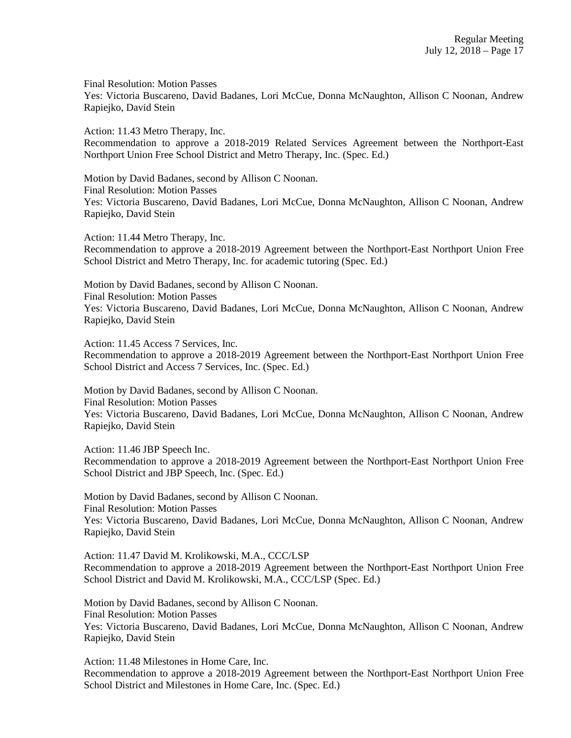Final Resolution: Motion Passes

Yes: Victoria Buscareno, David Badanes, Lori McCue, Donna McNaughton, Allison C Noonan, Andrew Rapiejko, David Stein

Action: 11.43 Metro Therapy, Inc.

Recommendation to approve a 2018-2019 Related Services Agreement between the Northport-East Northport Union Free School District and Metro Therapy, Inc. (Spec. Ed.)

Motion by David Badanes, second by Allison C Noonan. Final Resolution: Motion Passes Yes: Victoria Buscareno, David Badanes, Lori McCue, Donna McNaughton, Allison C Noonan, Andrew Rapiejko, David Stein

Action: 11.44 Metro Therapy, Inc. Recommendation to approve a 2018-2019 Agreement between the Northport-East Northport Union Free School District and Metro Therapy, Inc. for academic tutoring (Spec. Ed.)

Motion by David Badanes, second by Allison C Noonan. Final Resolution: Motion Passes Yes: Victoria Buscareno, David Badanes, Lori McCue, Donna McNaughton, Allison C Noonan, Andrew Rapiejko, David Stein

Action: 11.45 Access 7 Services, Inc. Recommendation to approve a 2018-2019 Agreement between the Northport-East Northport Union Free School District and Access 7 Services, Inc. (Spec. Ed.)

Motion by David Badanes, second by Allison C Noonan. Final Resolution: Motion Passes Yes: Victoria Buscareno, David Badanes, Lori McCue, Donna McNaughton, Allison C Noonan, Andrew Rapiejko, David Stein

Action: 11.46 JBP Speech Inc. Recommendation to approve a 2018-2019 Agreement between the Northport-East Northport Union Free School District and JBP Speech, Inc. (Spec. Ed.)

Motion by David Badanes, second by Allison C Noonan. Final Resolution: Motion Passes Yes: Victoria Buscareno, David Badanes, Lori McCue, Donna McNaughton, Allison C Noonan, Andrew Rapiejko, David Stein

Action: 11.47 David M. Krolikowski, M.A., CCC/LSP Recommendation to approve a 2018-2019 Agreement between the Northport-East Northport Union Free School District and David M. Krolikowski, M.A., CCC/LSP (Spec. Ed.)

Motion by David Badanes, second by Allison C Noonan. Final Resolution: Motion Passes Yes: Victoria Buscareno, David Badanes, Lori McCue, Donna McNaughton, Allison C Noonan, Andrew Rapiejko, David Stein

Action: 11.48 Milestones in Home Care, Inc. Recommendation to approve a 2018-2019 Agreement between the Northport-East Northport Union Free School District and Milestones in Home Care, Inc. (Spec. Ed.)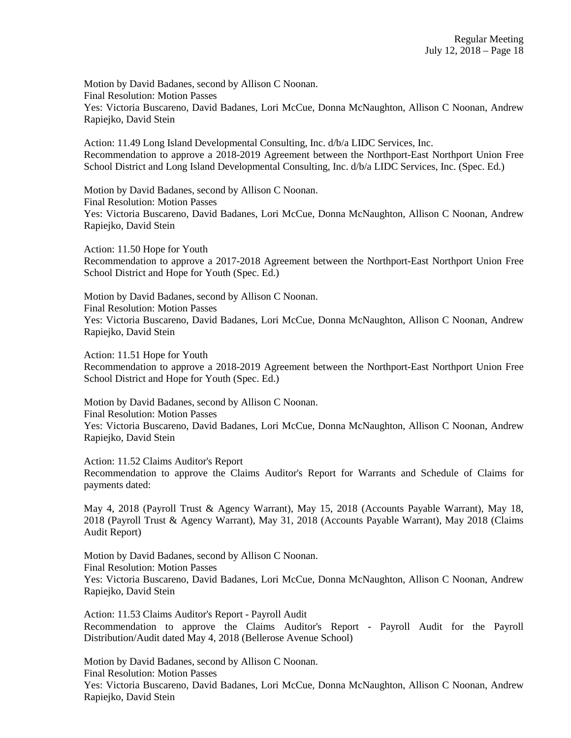Motion by David Badanes, second by Allison C Noonan. Final Resolution: Motion Passes Yes: Victoria Buscareno, David Badanes, Lori McCue, Donna McNaughton, Allison C Noonan, Andrew Rapiejko, David Stein

Action: 11.49 Long Island Developmental Consulting, Inc. d/b/a LIDC Services, Inc. Recommendation to approve a 2018-2019 Agreement between the Northport-East Northport Union Free School District and Long Island Developmental Consulting, Inc. d/b/a LIDC Services, Inc. (Spec. Ed.)

Motion by David Badanes, second by Allison C Noonan. Final Resolution: Motion Passes Yes: Victoria Buscareno, David Badanes, Lori McCue, Donna McNaughton, Allison C Noonan, Andrew Rapiejko, David Stein

Action: 11.50 Hope for Youth Recommendation to approve a 2017-2018 Agreement between the Northport-East Northport Union Free School District and Hope for Youth (Spec. Ed.)

Motion by David Badanes, second by Allison C Noonan. Final Resolution: Motion Passes Yes: Victoria Buscareno, David Badanes, Lori McCue, Donna McNaughton, Allison C Noonan, Andrew Rapiejko, David Stein

Action: 11.51 Hope for Youth

Recommendation to approve a 2018-2019 Agreement between the Northport-East Northport Union Free School District and Hope for Youth (Spec. Ed.)

Motion by David Badanes, second by Allison C Noonan. Final Resolution: Motion Passes Yes: Victoria Buscareno, David Badanes, Lori McCue, Donna McNaughton, Allison C Noonan, Andrew Rapiejko, David Stein

Action: 11.52 Claims Auditor's Report Recommendation to approve the Claims Auditor's Report for Warrants and Schedule of Claims for payments dated:

May 4, 2018 (Payroll Trust & Agency Warrant), May 15, 2018 (Accounts Payable Warrant), May 18, 2018 (Payroll Trust & Agency Warrant), May 31, 2018 (Accounts Payable Warrant), May 2018 (Claims Audit Report)

Motion by David Badanes, second by Allison C Noonan. Final Resolution: Motion Passes Yes: Victoria Buscareno, David Badanes, Lori McCue, Donna McNaughton, Allison C Noonan, Andrew Rapiejko, David Stein

Action: 11.53 Claims Auditor's Report - Payroll Audit Recommendation to approve the Claims Auditor's Report - Payroll Audit for the Payroll Distribution/Audit dated May 4, 2018 (Bellerose Avenue School)

Motion by David Badanes, second by Allison C Noonan. Final Resolution: Motion Passes Yes: Victoria Buscareno, David Badanes, Lori McCue, Donna McNaughton, Allison C Noonan, Andrew Rapiejko, David Stein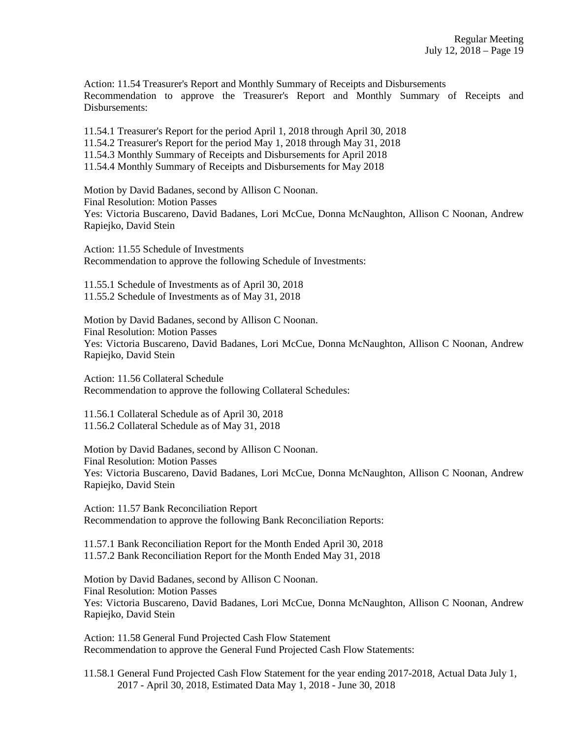Action: 11.54 Treasurer's Report and Monthly Summary of Receipts and Disbursements Recommendation to approve the Treasurer's Report and Monthly Summary of Receipts and Disbursements:

11.54.1 Treasurer's Report for the period April 1, 2018 through April 30, 2018

11.54.2 Treasurer's Report for the period May 1, 2018 through May 31, 2018

11.54.3 Monthly Summary of Receipts and Disbursements for April 2018

11.54.4 Monthly Summary of Receipts and Disbursements for May 2018

Motion by David Badanes, second by Allison C Noonan. Final Resolution: Motion Passes Yes: Victoria Buscareno, David Badanes, Lori McCue, Donna McNaughton, Allison C Noonan, Andrew Rapiejko, David Stein

Action: 11.55 Schedule of Investments Recommendation to approve the following Schedule of Investments:

11.55.1 Schedule of Investments as of April 30, 2018 11.55.2 Schedule of Investments as of May 31, 2018

Motion by David Badanes, second by Allison C Noonan. Final Resolution: Motion Passes Yes: Victoria Buscareno, David Badanes, Lori McCue, Donna McNaughton, Allison C Noonan, Andrew Rapiejko, David Stein

Action: 11.56 Collateral Schedule Recommendation to approve the following Collateral Schedules:

11.56.1 Collateral Schedule as of April 30, 2018 11.56.2 Collateral Schedule as of May 31, 2018

Motion by David Badanes, second by Allison C Noonan. Final Resolution: Motion Passes Yes: Victoria Buscareno, David Badanes, Lori McCue, Donna McNaughton, Allison C Noonan, Andrew Rapiejko, David Stein

Action: 11.57 Bank Reconciliation Report Recommendation to approve the following Bank Reconciliation Reports:

11.57.1 Bank Reconciliation Report for the Month Ended April 30, 2018 11.57.2 Bank Reconciliation Report for the Month Ended May 31, 2018

Motion by David Badanes, second by Allison C Noonan. Final Resolution: Motion Passes Yes: Victoria Buscareno, David Badanes, Lori McCue, Donna McNaughton, Allison C Noonan, Andrew Rapiejko, David Stein

Action: 11.58 General Fund Projected Cash Flow Statement Recommendation to approve the General Fund Projected Cash Flow Statements:

11.58.1 General Fund Projected Cash Flow Statement for the year ending 2017-2018, Actual Data July 1, 2017 - April 30, 2018, Estimated Data May 1, 2018 - June 30, 2018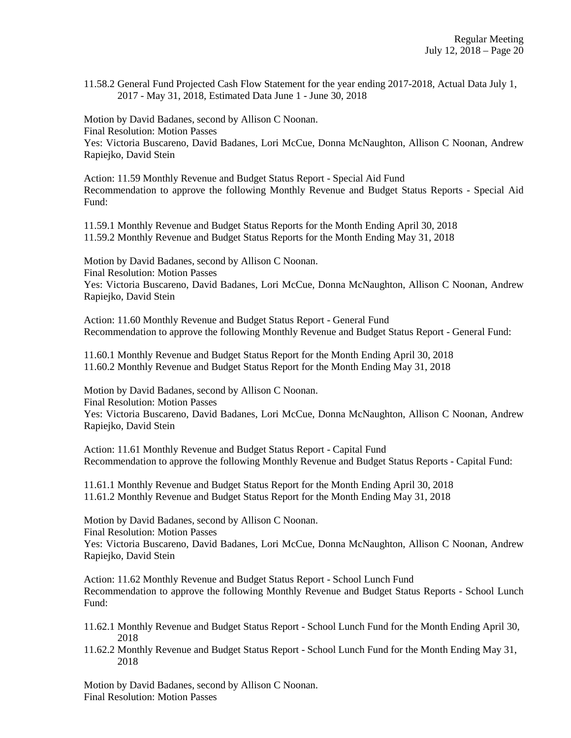11.58.2 General Fund Projected Cash Flow Statement for the year ending 2017-2018, Actual Data July 1, 2017 - May 31, 2018, Estimated Data June 1 - June 30, 2018

Motion by David Badanes, second by Allison C Noonan. Final Resolution: Motion Passes Yes: Victoria Buscareno, David Badanes, Lori McCue, Donna McNaughton, Allison C Noonan, Andrew Rapiejko, David Stein

Action: 11.59 Monthly Revenue and Budget Status Report - Special Aid Fund Recommendation to approve the following Monthly Revenue and Budget Status Reports - Special Aid Fund:

11.59.1 Monthly Revenue and Budget Status Reports for the Month Ending April 30, 2018 11.59.2 Monthly Revenue and Budget Status Reports for the Month Ending May 31, 2018

Motion by David Badanes, second by Allison C Noonan. Final Resolution: Motion Passes Yes: Victoria Buscareno, David Badanes, Lori McCue, Donna McNaughton, Allison C Noonan, Andrew Rapiejko, David Stein

Action: 11.60 Monthly Revenue and Budget Status Report - General Fund Recommendation to approve the following Monthly Revenue and Budget Status Report - General Fund:

11.60.1 Monthly Revenue and Budget Status Report for the Month Ending April 30, 2018 11.60.2 Monthly Revenue and Budget Status Report for the Month Ending May 31, 2018

Motion by David Badanes, second by Allison C Noonan. Final Resolution: Motion Passes Yes: Victoria Buscareno, David Badanes, Lori McCue, Donna McNaughton, Allison C Noonan, Andrew Rapiejko, David Stein

Action: 11.61 Monthly Revenue and Budget Status Report - Capital Fund Recommendation to approve the following Monthly Revenue and Budget Status Reports - Capital Fund:

11.61.1 Monthly Revenue and Budget Status Report for the Month Ending April 30, 2018 11.61.2 Monthly Revenue and Budget Status Report for the Month Ending May 31, 2018

Motion by David Badanes, second by Allison C Noonan. Final Resolution: Motion Passes

Yes: Victoria Buscareno, David Badanes, Lori McCue, Donna McNaughton, Allison C Noonan, Andrew Rapiejko, David Stein

Action: 11.62 Monthly Revenue and Budget Status Report - School Lunch Fund Recommendation to approve the following Monthly Revenue and Budget Status Reports - School Lunch Fund:

- 11.62.1 Monthly Revenue and Budget Status Report School Lunch Fund for the Month Ending April 30, 2018
- 11.62.2 Monthly Revenue and Budget Status Report School Lunch Fund for the Month Ending May 31, 2018

Motion by David Badanes, second by Allison C Noonan. Final Resolution: Motion Passes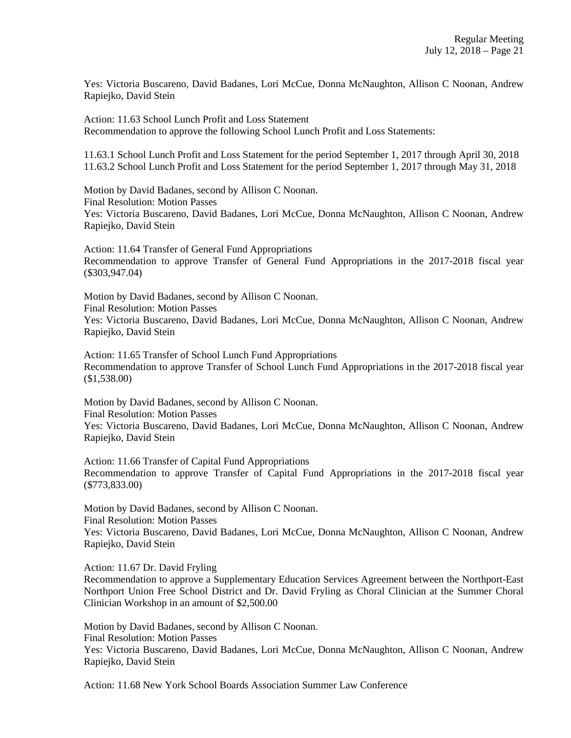Yes: Victoria Buscareno, David Badanes, Lori McCue, Donna McNaughton, Allison C Noonan, Andrew Rapiejko, David Stein

Action: 11.63 School Lunch Profit and Loss Statement Recommendation to approve the following School Lunch Profit and Loss Statements:

11.63.1 School Lunch Profit and Loss Statement for the period September 1, 2017 through April 30, 2018 11.63.2 School Lunch Profit and Loss Statement for the period September 1, 2017 through May 31, 2018

Motion by David Badanes, second by Allison C Noonan. Final Resolution: Motion Passes Yes: Victoria Buscareno, David Badanes, Lori McCue, Donna McNaughton, Allison C Noonan, Andrew Rapiejko, David Stein

Action: 11.64 Transfer of General Fund Appropriations Recommendation to approve Transfer of General Fund Appropriations in the 2017-2018 fiscal year (\$303,947.04)

Motion by David Badanes, second by Allison C Noonan. Final Resolution: Motion Passes Yes: Victoria Buscareno, David Badanes, Lori McCue, Donna McNaughton, Allison C Noonan, Andrew Rapiejko, David Stein

Action: 11.65 Transfer of School Lunch Fund Appropriations Recommendation to approve Transfer of School Lunch Fund Appropriations in the 2017-2018 fiscal year (\$1,538.00)

Motion by David Badanes, second by Allison C Noonan. Final Resolution: Motion Passes Yes: Victoria Buscareno, David Badanes, Lori McCue, Donna McNaughton, Allison C Noonan, Andrew Rapiejko, David Stein

Action: 11.66 Transfer of Capital Fund Appropriations Recommendation to approve Transfer of Capital Fund Appropriations in the 2017-2018 fiscal year (\$773,833.00)

Motion by David Badanes, second by Allison C Noonan. Final Resolution: Motion Passes

Yes: Victoria Buscareno, David Badanes, Lori McCue, Donna McNaughton, Allison C Noonan, Andrew Rapiejko, David Stein

Action: 11.67 Dr. David Fryling

Recommendation to approve a Supplementary Education Services Agreement between the Northport-East Northport Union Free School District and Dr. David Fryling as Choral Clinician at the Summer Choral Clinician Workshop in an amount of \$2,500.00

Motion by David Badanes, second by Allison C Noonan. Final Resolution: Motion Passes Yes: Victoria Buscareno, David Badanes, Lori McCue, Donna McNaughton, Allison C Noonan, Andrew Rapiejko, David Stein

Action: 11.68 New York School Boards Association Summer Law Conference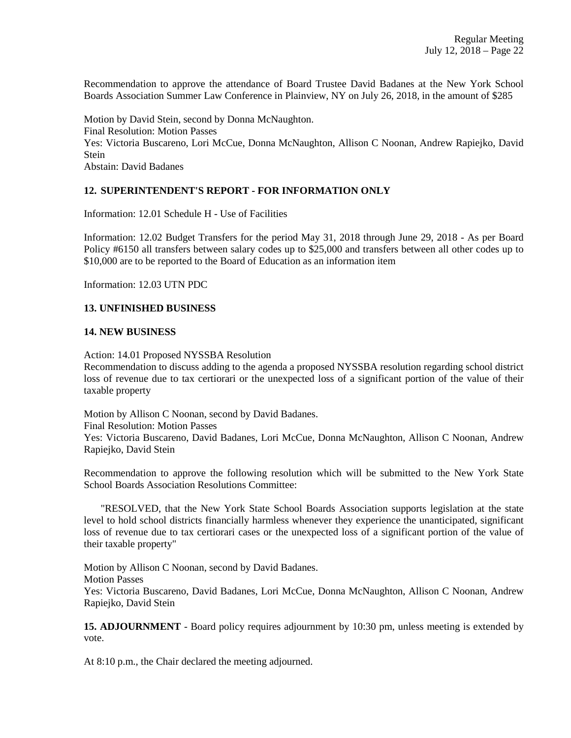Recommendation to approve the attendance of Board Trustee David Badanes at the New York School Boards Association Summer Law Conference in Plainview, NY on July 26, 2018, in the amount of \$285

Motion by David Stein, second by Donna McNaughton. Final Resolution: Motion Passes Yes: Victoria Buscareno, Lori McCue, Donna McNaughton, Allison C Noonan, Andrew Rapiejko, David Stein Abstain: David Badanes

# **12. SUPERINTENDENT'S REPORT - FOR INFORMATION ONLY**

Information: 12.01 Schedule H - Use of Facilities

Information: 12.02 Budget Transfers for the period May 31, 2018 through June 29, 2018 - As per Board Policy #6150 all transfers between salary codes up to \$25,000 and transfers between all other codes up to \$10,000 are to be reported to the Board of Education as an information item

Information: 12.03 UTN PDC

# **13. UNFINISHED BUSINESS**

#### **14. NEW BUSINESS**

Action: 14.01 Proposed NYSSBA Resolution

Recommendation to discuss adding to the agenda a proposed NYSSBA resolution regarding school district loss of revenue due to tax certiorari or the unexpected loss of a significant portion of the value of their taxable property

Motion by Allison C Noonan, second by David Badanes. Final Resolution: Motion Passes Yes: Victoria Buscareno, David Badanes, Lori McCue, Donna McNaughton, Allison C Noonan, Andrew Rapiejko, David Stein

Recommendation to approve the following resolution which will be submitted to the New York State School Boards Association Resolutions Committee:

 "RESOLVED, that the New York State School Boards Association supports legislation at the state level to hold school districts financially harmless whenever they experience the unanticipated, significant loss of revenue due to tax certiorari cases or the unexpected loss of a significant portion of the value of their taxable property"

Motion by Allison C Noonan, second by David Badanes. Motion Passes Yes: Victoria Buscareno, David Badanes, Lori McCue, Donna McNaughton, Allison C Noonan, Andrew Rapiejko, David Stein

**15. ADJOURNMENT** - Board policy requires adjournment by 10:30 pm, unless meeting is extended by vote.

At 8:10 p.m., the Chair declared the meeting adjourned.